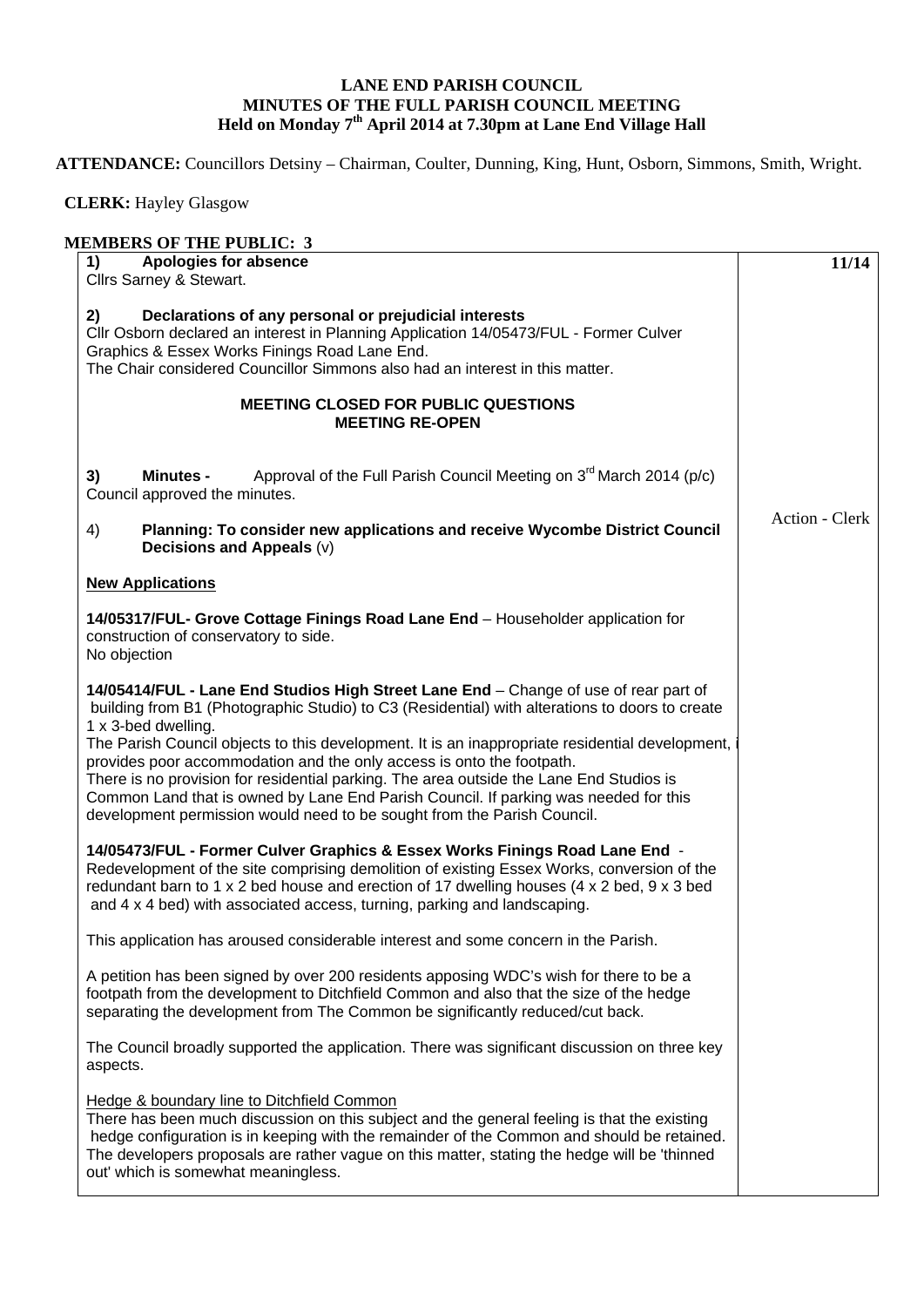## **LANE END PARISH COUNCIL MINUTES OF THE FULL PARISH COUNCIL MEETING Held on Monday 7th April 2014 at 7.30pm at Lane End Village Hall**

**ATTENDANCE:** Councillors Detsiny – Chairman, Coulter, Dunning, King, Hunt, Osborn, Simmons, Smith, Wright.

 **CLERK:** Hayley Glasgow

| <b>MEMBERS OF THE PUBLIC: 3</b>                                                                                                                                                                                                                                                                                                                                                                                                                                                                                                                                                                                                                         |                |
|---------------------------------------------------------------------------------------------------------------------------------------------------------------------------------------------------------------------------------------------------------------------------------------------------------------------------------------------------------------------------------------------------------------------------------------------------------------------------------------------------------------------------------------------------------------------------------------------------------------------------------------------------------|----------------|
| Apologies for absence<br>1)                                                                                                                                                                                                                                                                                                                                                                                                                                                                                                                                                                                                                             | 11/14          |
| Cllrs Sarney & Stewart.                                                                                                                                                                                                                                                                                                                                                                                                                                                                                                                                                                                                                                 |                |
| 2)<br>Declarations of any personal or prejudicial interests<br>Cllr Osborn declared an interest in Planning Application 14/05473/FUL - Former Culver<br>Graphics & Essex Works Finings Road Lane End.<br>The Chair considered Councillor Simmons also had an interest in this matter.                                                                                                                                                                                                                                                                                                                                                                   |                |
| <b>MEETING CLOSED FOR PUBLIC QUESTIONS</b><br><b>MEETING RE-OPEN</b>                                                                                                                                                                                                                                                                                                                                                                                                                                                                                                                                                                                    |                |
| Approval of the Full Parish Council Meeting on $3^{rd}$ March 2014 (p/c)<br><b>Minutes -</b><br>3)<br>Council approved the minutes.                                                                                                                                                                                                                                                                                                                                                                                                                                                                                                                     |                |
| Planning: To consider new applications and receive Wycombe District Council<br>4)<br>Decisions and Appeals (v)                                                                                                                                                                                                                                                                                                                                                                                                                                                                                                                                          | Action - Clerk |
| <b>New Applications</b>                                                                                                                                                                                                                                                                                                                                                                                                                                                                                                                                                                                                                                 |                |
| 14/05317/FUL- Grove Cottage Finings Road Lane End - Householder application for<br>construction of conservatory to side.<br>No objection                                                                                                                                                                                                                                                                                                                                                                                                                                                                                                                |                |
| 14/05414/FUL - Lane End Studios High Street Lane End - Change of use of rear part of<br>building from B1 (Photographic Studio) to C3 (Residential) with alterations to doors to create<br>1 x 3-bed dwelling.<br>The Parish Council objects to this development. It is an inappropriate residential development,<br>provides poor accommodation and the only access is onto the footpath.<br>There is no provision for residential parking. The area outside the Lane End Studios is<br>Common Land that is owned by Lane End Parish Council. If parking was needed for this<br>development permission would need to be sought from the Parish Council. |                |
| 14/05473/FUL - Former Culver Graphics & Essex Works Finings Road Lane End -<br>Redevelopment of the site comprising demolition of existing Essex Works, conversion of the<br>redundant barn to 1 x 2 bed house and erection of 17 dwelling houses (4 x 2 bed, 9 x 3 bed<br>and 4 x 4 bed) with associated access, turning, parking and landscaping.                                                                                                                                                                                                                                                                                                     |                |
| This application has aroused considerable interest and some concern in the Parish.                                                                                                                                                                                                                                                                                                                                                                                                                                                                                                                                                                      |                |
| A petition has been signed by over 200 residents apposing WDC's wish for there to be a<br>footpath from the development to Ditchfield Common and also that the size of the hedge<br>separating the development from The Common be significantly reduced/cut back.                                                                                                                                                                                                                                                                                                                                                                                       |                |
| The Council broadly supported the application. There was significant discussion on three key<br>aspects.                                                                                                                                                                                                                                                                                                                                                                                                                                                                                                                                                |                |
| Hedge & boundary line to Ditchfield Common<br>There has been much discussion on this subject and the general feeling is that the existing<br>hedge configuration is in keeping with the remainder of the Common and should be retained.<br>The developers proposals are rather vague on this matter, stating the hedge will be 'thinned<br>out' which is somewhat meaningless.                                                                                                                                                                                                                                                                          |                |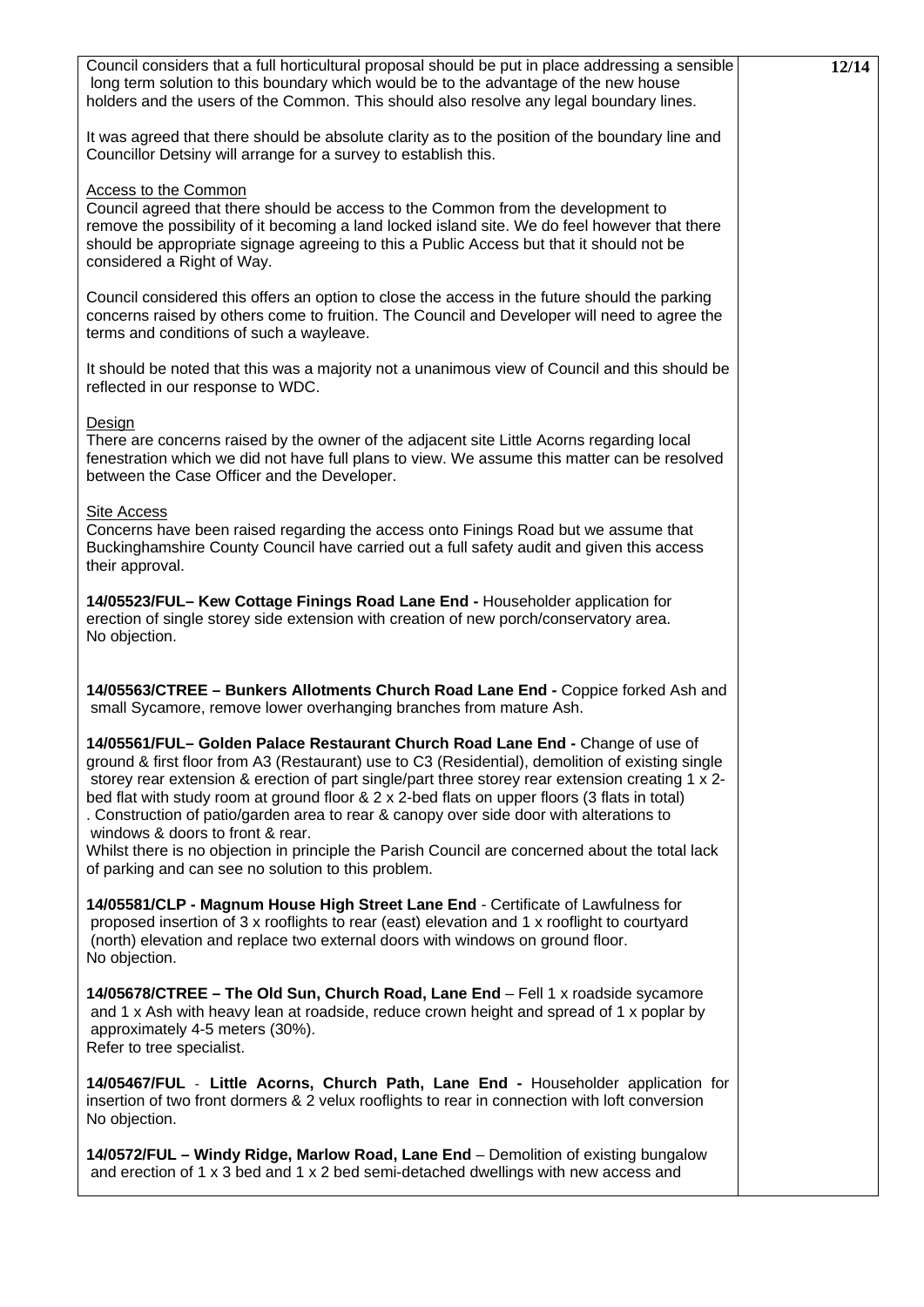| Council considers that a full horticultural proposal should be put in place addressing a sensible<br>long term solution to this boundary which would be to the advantage of the new house<br>holders and the users of the Common. This should also resolve any legal boundary lines.                                                                                                                                                                                                                                   | 12/14 |
|------------------------------------------------------------------------------------------------------------------------------------------------------------------------------------------------------------------------------------------------------------------------------------------------------------------------------------------------------------------------------------------------------------------------------------------------------------------------------------------------------------------------|-------|
| It was agreed that there should be absolute clarity as to the position of the boundary line and<br>Councillor Detsiny will arrange for a survey to establish this.                                                                                                                                                                                                                                                                                                                                                     |       |
| Access to the Common<br>Council agreed that there should be access to the Common from the development to<br>remove the possibility of it becoming a land locked island site. We do feel however that there<br>should be appropriate signage agreeing to this a Public Access but that it should not be<br>considered a Right of Way.                                                                                                                                                                                   |       |
| Council considered this offers an option to close the access in the future should the parking<br>concerns raised by others come to fruition. The Council and Developer will need to agree the<br>terms and conditions of such a wayleave.                                                                                                                                                                                                                                                                              |       |
| It should be noted that this was a majority not a unanimous view of Council and this should be<br>reflected in our response to WDC.                                                                                                                                                                                                                                                                                                                                                                                    |       |
| Design<br>There are concerns raised by the owner of the adjacent site Little Acorns regarding local<br>fenestration which we did not have full plans to view. We assume this matter can be resolved<br>between the Case Officer and the Developer.                                                                                                                                                                                                                                                                     |       |
| Site Access<br>Concerns have been raised regarding the access onto Finings Road but we assume that<br>Buckinghamshire County Council have carried out a full safety audit and given this access<br>their approval.                                                                                                                                                                                                                                                                                                     |       |
| 14/05523/FUL- Kew Cottage Finings Road Lane End - Householder application for<br>erection of single storey side extension with creation of new porch/conservatory area.<br>No objection.                                                                                                                                                                                                                                                                                                                               |       |
| 14/05563/CTREE - Bunkers Allotments Church Road Lane End - Coppice forked Ash and<br>small Sycamore, remove lower overhanging branches from mature Ash.                                                                                                                                                                                                                                                                                                                                                                |       |
| 14/05561/FUL- Golden Palace Restaurant Church Road Lane End - Change of use of<br>ground & first floor from A3 (Restaurant) use to C3 (Residential), demolition of existing single<br>storey rear extension & erection of part single/part three storey rear extension creating 1 x 2-<br>bed flat with study room at ground floor & 2 x 2-bed flats on upper floors (3 flats in total)<br>. Construction of patio/garden area to rear & canopy over side door with alterations to<br>windows & doors to front & rear. |       |
| Whilst there is no objection in principle the Parish Council are concerned about the total lack<br>of parking and can see no solution to this problem.                                                                                                                                                                                                                                                                                                                                                                 |       |
| 14/05581/CLP - Magnum House High Street Lane End - Certificate of Lawfulness for<br>proposed insertion of 3 x rooflights to rear (east) elevation and 1 x rooflight to courtyard<br>(north) elevation and replace two external doors with windows on ground floor.<br>No objection.                                                                                                                                                                                                                                    |       |
| 14/05678/CTREE - The Old Sun, Church Road, Lane End - Fell 1 x roadside sycamore<br>and 1 x Ash with heavy lean at roadside, reduce crown height and spread of 1 x poplar by<br>approximately 4-5 meters (30%).<br>Refer to tree specialist.                                                                                                                                                                                                                                                                           |       |
| 14/05467/FUL - Little Acorns, Church Path, Lane End - Householder application for<br>insertion of two front dormers & 2 velux rooflights to rear in connection with loft conversion<br>No objection.                                                                                                                                                                                                                                                                                                                   |       |
| 14/0572/FUL - Windy Ridge, Marlow Road, Lane End - Demolition of existing bungalow<br>and erection of 1 x 3 bed and 1 x 2 bed semi-detached dwellings with new access and                                                                                                                                                                                                                                                                                                                                              |       |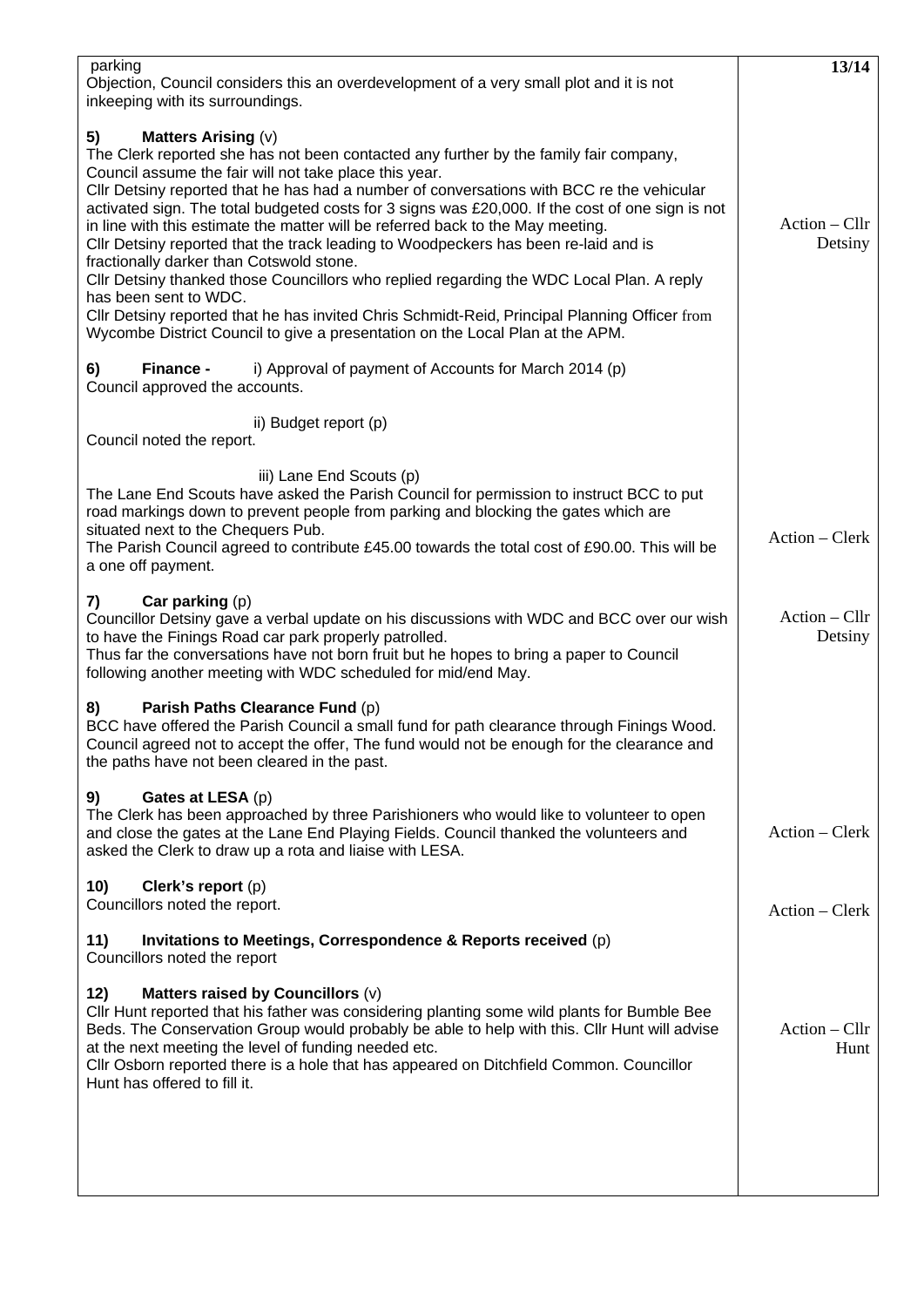| parking<br>Objection, Council considers this an overdevelopment of a very small plot and it is not                                                                                                                                                                                                                                                                                                                                                                                                                                                                                                                                                                                                                                                                                                                                                                   | 13/14                      |
|----------------------------------------------------------------------------------------------------------------------------------------------------------------------------------------------------------------------------------------------------------------------------------------------------------------------------------------------------------------------------------------------------------------------------------------------------------------------------------------------------------------------------------------------------------------------------------------------------------------------------------------------------------------------------------------------------------------------------------------------------------------------------------------------------------------------------------------------------------------------|----------------------------|
| inkeeping with its surroundings.<br><b>Matters Arising (v)</b><br>5)<br>The Clerk reported she has not been contacted any further by the family fair company,<br>Council assume the fair will not take place this year.<br>Cllr Detsiny reported that he has had a number of conversations with BCC re the vehicular<br>activated sign. The total budgeted costs for 3 signs was £20,000. If the cost of one sign is not<br>in line with this estimate the matter will be referred back to the May meeting.<br>CIIr Detsiny reported that the track leading to Woodpeckers has been re-laid and is<br>fractionally darker than Cotswold stone.<br>Cllr Detsiny thanked those Councillors who replied regarding the WDC Local Plan. A reply<br>has been sent to WDC.<br>Cllr Detsiny reported that he has invited Chris Schmidt-Reid, Principal Planning Officer from | $Action - Cllr$<br>Detsiny |
| Wycombe District Council to give a presentation on the Local Plan at the APM.                                                                                                                                                                                                                                                                                                                                                                                                                                                                                                                                                                                                                                                                                                                                                                                        |                            |
| i) Approval of payment of Accounts for March 2014 (p)<br>6)<br>Finance -<br>Council approved the accounts.                                                                                                                                                                                                                                                                                                                                                                                                                                                                                                                                                                                                                                                                                                                                                           |                            |
| ii) Budget report (p)<br>Council noted the report.                                                                                                                                                                                                                                                                                                                                                                                                                                                                                                                                                                                                                                                                                                                                                                                                                   |                            |
| iii) Lane End Scouts (p)<br>The Lane End Scouts have asked the Parish Council for permission to instruct BCC to put<br>road markings down to prevent people from parking and blocking the gates which are<br>situated next to the Chequers Pub.<br>The Parish Council agreed to contribute £45.00 towards the total cost of £90.00. This will be<br>a one off payment.                                                                                                                                                                                                                                                                                                                                                                                                                                                                                               | Action – Clerk             |
| Car parking $(p)$<br>7)<br>Councillor Detsiny gave a verbal update on his discussions with WDC and BCC over our wish<br>to have the Finings Road car park properly patrolled.<br>Thus far the conversations have not born fruit but he hopes to bring a paper to Council<br>following another meeting with WDC scheduled for mid/end May.                                                                                                                                                                                                                                                                                                                                                                                                                                                                                                                            | $Action - Cllr$<br>Detsiny |
| Parish Paths Clearance Fund (p)<br>8)<br>BCC have offered the Parish Council a small fund for path clearance through Finings Wood.<br>Council agreed not to accept the offer, The fund would not be enough for the clearance and<br>the paths have not been cleared in the past.                                                                                                                                                                                                                                                                                                                                                                                                                                                                                                                                                                                     |                            |
| Gates at LESA (p)<br>9)<br>The Clerk has been approached by three Parishioners who would like to volunteer to open<br>and close the gates at the Lane End Playing Fields. Council thanked the volunteers and<br>asked the Clerk to draw up a rota and liaise with LESA.                                                                                                                                                                                                                                                                                                                                                                                                                                                                                                                                                                                              | $Action - Clerk$           |
| 10)<br>Clerk's report (p)<br>Councillors noted the report.                                                                                                                                                                                                                                                                                                                                                                                                                                                                                                                                                                                                                                                                                                                                                                                                           | Action – Clerk             |
| Invitations to Meetings, Correspondence & Reports received (p)<br>11)<br>Councillors noted the report                                                                                                                                                                                                                                                                                                                                                                                                                                                                                                                                                                                                                                                                                                                                                                |                            |
| Matters raised by Councillors (v)<br>12)<br>CIIr Hunt reported that his father was considering planting some wild plants for Bumble Bee<br>Beds. The Conservation Group would probably be able to help with this. Cllr Hunt will advise<br>at the next meeting the level of funding needed etc.<br>Cllr Osborn reported there is a hole that has appeared on Ditchfield Common. Councillor<br>Hunt has offered to fill it.                                                                                                                                                                                                                                                                                                                                                                                                                                           | Action – Cllr<br>Hunt      |
|                                                                                                                                                                                                                                                                                                                                                                                                                                                                                                                                                                                                                                                                                                                                                                                                                                                                      |                            |